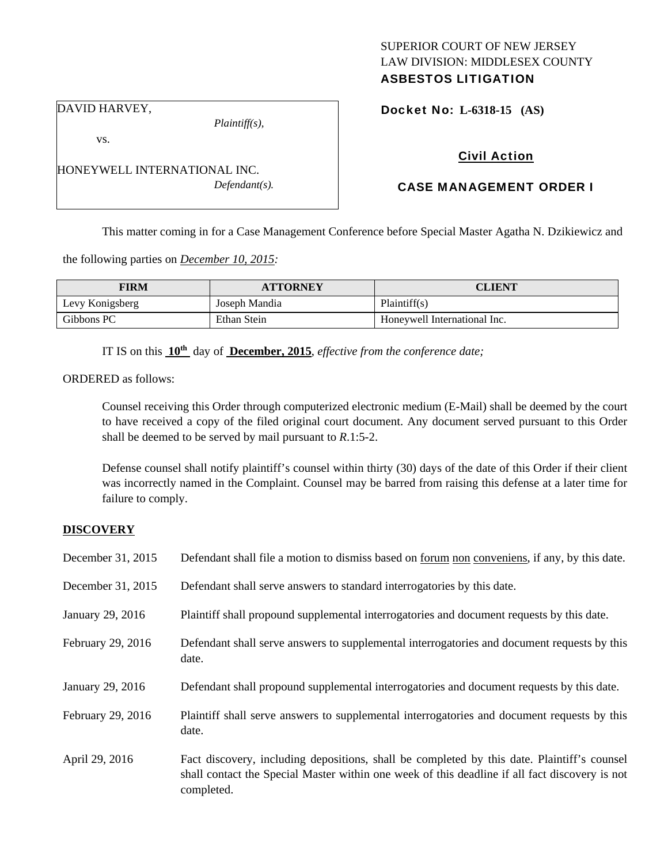# SUPERIOR COURT OF NEW JERSEY LAW DIVISION: MIDDLESEX COUNTY ASBESTOS LITIGATION

DAVID HARVEY,

vs.

Civil Action

Docket No: **L-6318-15 (AS)** 

# CASE MANAGEMENT ORDER I

This matter coming in for a Case Management Conference before Special Master Agatha N. Dzikiewicz and

the following parties on *December 10, 2015:* 

HONEYWELL INTERNATIONAL INC.

| <b>FIRM</b>     | <b>ATTORNEY</b> | <b>CLIENT</b>                |
|-----------------|-----------------|------------------------------|
| Levy Konigsberg | Joseph Mandia   | Plaintiff(s)                 |
| Gibbons PC      | Ethan Stein     | Honeywell International Inc. |

IT IS on this **10th** day of **December, 2015**, *effective from the conference date;*

ORDERED as follows:

Counsel receiving this Order through computerized electronic medium (E-Mail) shall be deemed by the court to have received a copy of the filed original court document. Any document served pursuant to this Order shall be deemed to be served by mail pursuant to *R*.1:5-2.

Defense counsel shall notify plaintiff's counsel within thirty (30) days of the date of this Order if their client was incorrectly named in the Complaint. Counsel may be barred from raising this defense at a later time for failure to comply.

## **DISCOVERY**

| December 31, 2015 | Defendant shall file a motion to dismiss based on <u>forum non conveniens</u> , if any, by this date. |
|-------------------|-------------------------------------------------------------------------------------------------------|
| December 31, 2015 | Defendant shall serve answers to standard interrogatories by this date.                               |
| January 29, 2016  | Plaintiff shall propound supplemental interrogatories and document requests by this date.             |
| February 29, 2016 | Defendant shall serve answers to supplemental interrogatories and document requests by this<br>date.  |
| January 29, 2016  | Defendant shall propound supplemental interrogatories and document requests by this date.             |
|                   |                                                                                                       |
| February 29, 2016 | Plaintiff shall serve answers to supplemental interrogatories and document requests by this<br>date.  |

*Plaintiff(s),* 

*Defendant(s).*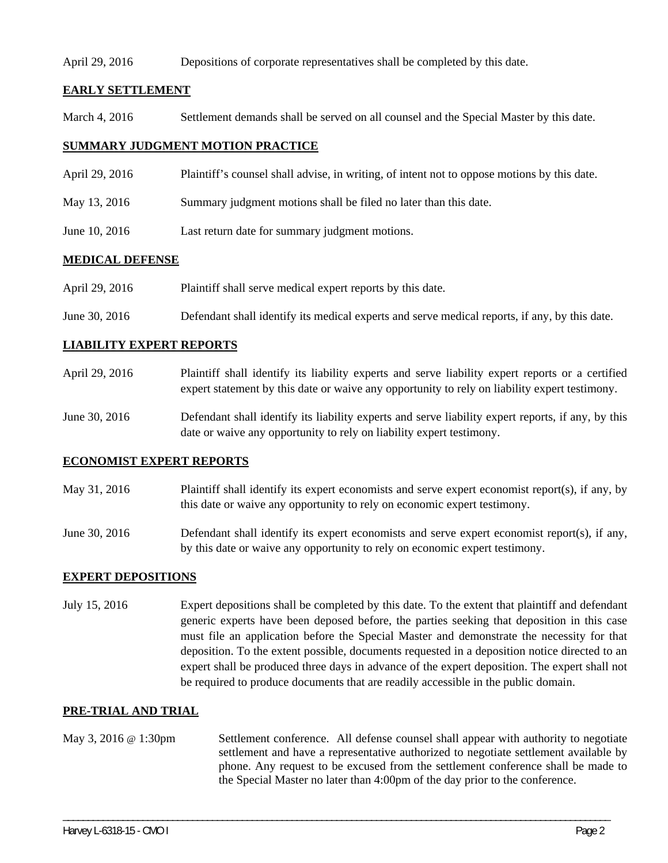#### April 29, 2016 Depositions of corporate representatives shall be completed by this date.

# **EARLY SETTLEMENT**

March 4, 2016 Settlement demands shall be served on all counsel and the Special Master by this date.

# **SUMMARY JUDGMENT MOTION PRACTICE**

- April 29, 2016 Plaintiff's counsel shall advise, in writing, of intent not to oppose motions by this date.
- May 13, 2016 Summary judgment motions shall be filed no later than this date.
- June 10, 2016 Last return date for summary judgment motions.

# **MEDICAL DEFENSE**

- April 29, 2016 Plaintiff shall serve medical expert reports by this date.
- June 30, 2016 Defendant shall identify its medical experts and serve medical reports, if any, by this date.

# **LIABILITY EXPERT REPORTS**

- April 29, 2016 Plaintiff shall identify its liability experts and serve liability expert reports or a certified expert statement by this date or waive any opportunity to rely on liability expert testimony.
- June 30, 2016 Defendant shall identify its liability experts and serve liability expert reports, if any, by this date or waive any opportunity to rely on liability expert testimony.

#### **ECONOMIST EXPERT REPORTS**

- May 31, 2016 Plaintiff shall identify its expert economists and serve expert economist report(s), if any, by this date or waive any opportunity to rely on economic expert testimony.
- June 30, 2016 Defendant shall identify its expert economists and serve expert economist report(s), if any, by this date or waive any opportunity to rely on economic expert testimony.

#### **EXPERT DEPOSITIONS**

July 15, 2016 Expert depositions shall be completed by this date. To the extent that plaintiff and defendant generic experts have been deposed before, the parties seeking that deposition in this case must file an application before the Special Master and demonstrate the necessity for that deposition. To the extent possible, documents requested in a deposition notice directed to an expert shall be produced three days in advance of the expert deposition. The expert shall not be required to produce documents that are readily accessible in the public domain.

#### **PRE-TRIAL AND TRIAL**

May 3, 2016 @ 1:30pm Settlement conference. All defense counsel shall appear with authority to negotiate settlement and have a representative authorized to negotiate settlement available by phone. Any request to be excused from the settlement conference shall be made to the Special Master no later than 4:00pm of the day prior to the conference.

\_\_\_\_\_\_\_\_\_\_\_\_\_\_\_\_\_\_\_\_\_\_\_\_\_\_\_\_\_\_\_\_\_\_\_\_\_\_\_\_\_\_\_\_\_\_\_\_\_\_\_\_\_\_\_\_\_\_\_\_\_\_\_\_\_\_\_\_\_\_\_\_\_\_\_\_\_\_\_\_\_\_\_\_\_\_\_\_\_\_\_\_\_\_\_\_\_\_\_\_\_\_\_\_\_\_\_\_\_\_